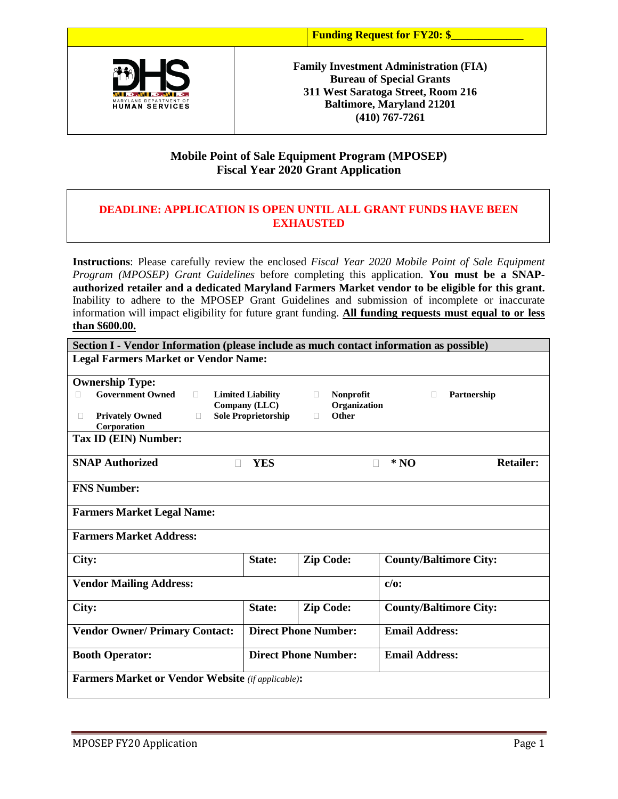

**Family Investment Administration (FIA) Bureau of Special Grants 311 West Saratoga Street, Room 216 Baltimore, Maryland 21201 (410) 767-7261**

## **Mobile Point of Sale Equipment Program (MPOSEP) Fiscal Year 2020 Grant Application**

## **DEADLINE: APPLICATION IS OPEN UNTIL ALL GRANT FUNDS HAVE BEEN EXHAUSTED**

**Instructions**: Please carefully review the enclosed *Fiscal Year 2020 Mobile Point of Sale Equipment Program (MPOSEP) Grant Guidelines* before completing this application. **You must be a SNAPauthorized retailer and a dedicated Maryland Farmers Market vendor to be eligible for this grant.** Inability to adhere to the MPOSEP Grant Guidelines and submission of incomplete or inaccurate information will impact eligibility for future grant funding. **All funding requests must equal to or less than \$600.00.**

| Section I - Vendor Information (please include as much contact information as possible)                                                |                                                                         |                                                      |                                |  |  |  |  |  |
|----------------------------------------------------------------------------------------------------------------------------------------|-------------------------------------------------------------------------|------------------------------------------------------|--------------------------------|--|--|--|--|--|
| <b>Legal Farmers Market or Vendor Name:</b>                                                                                            |                                                                         |                                                      |                                |  |  |  |  |  |
| <b>Ownership Type:</b><br><b>Government Owned</b><br>$\Box$<br><b>Privately Owned</b><br>П<br>П<br>Corporation<br>Tax ID (EIN) Number: | <b>Limited Liability</b><br>Company (LLC)<br><b>Sole Proprietorship</b> | <b>Nonprofit</b><br>П.<br>Organization<br>Other<br>п | Partnership                    |  |  |  |  |  |
| <b>SNAP Authorized</b><br>П                                                                                                            | <b>YES</b>                                                              |                                                      | <b>Retailer:</b><br>$*NO$<br>П |  |  |  |  |  |
| <b>FNS Number:</b>                                                                                                                     |                                                                         |                                                      |                                |  |  |  |  |  |
| <b>Farmers Market Legal Name:</b>                                                                                                      |                                                                         |                                                      |                                |  |  |  |  |  |
| <b>Farmers Market Address:</b>                                                                                                         |                                                                         |                                                      |                                |  |  |  |  |  |
| City:                                                                                                                                  | State:                                                                  | <b>Zip Code:</b>                                     | <b>County/Baltimore City:</b>  |  |  |  |  |  |
| <b>Vendor Mailing Address:</b>                                                                                                         | $c/o$ :                                                                 |                                                      |                                |  |  |  |  |  |
| City:                                                                                                                                  | State:                                                                  | <b>Zip Code:</b>                                     | <b>County/Baltimore City:</b>  |  |  |  |  |  |
| <b>Vendor Owner/ Primary Contact:</b>                                                                                                  |                                                                         | <b>Direct Phone Number:</b>                          | <b>Email Address:</b>          |  |  |  |  |  |
| <b>Booth Operator:</b>                                                                                                                 |                                                                         | <b>Direct Phone Number:</b>                          | <b>Email Address:</b>          |  |  |  |  |  |
| <b>Farmers Market or Vendor Website</b> (if applicable):                                                                               |                                                                         |                                                      |                                |  |  |  |  |  |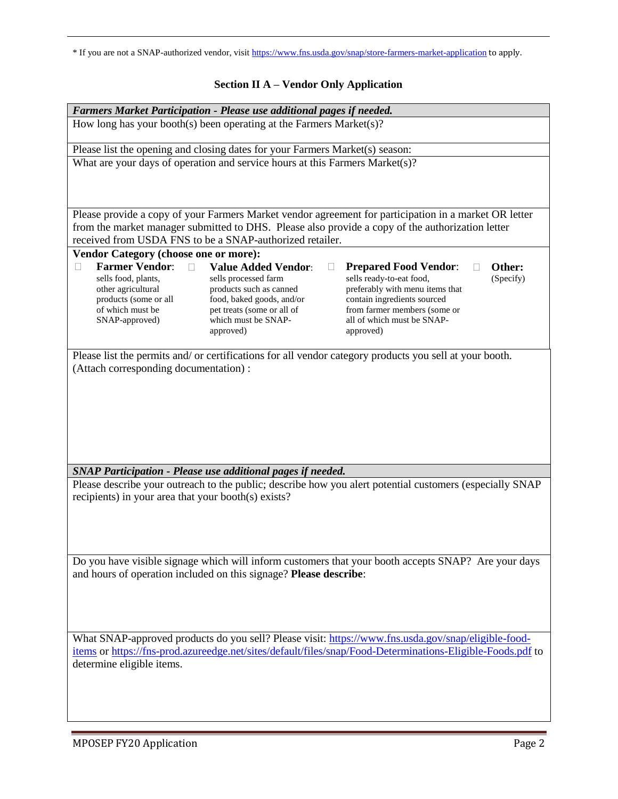\* If you are not a SNAP-authorized vendor, visit <https://www.fns.usda.gov/snap/store-farmers-market-application> to apply.

# **Section II A – Vendor Only Application**

| Farmers Market Participation - Please use additional pages if needed.                                      |                                                                    |                                                                                                          |           |  |  |  |  |
|------------------------------------------------------------------------------------------------------------|--------------------------------------------------------------------|----------------------------------------------------------------------------------------------------------|-----------|--|--|--|--|
| How long has your booth(s) been operating at the Farmers Market(s)?                                        |                                                                    |                                                                                                          |           |  |  |  |  |
| Please list the opening and closing dates for your Farmers Market(s) season:                               |                                                                    |                                                                                                          |           |  |  |  |  |
| What are your days of operation and service hours at this Farmers Market(s)?                               |                                                                    |                                                                                                          |           |  |  |  |  |
|                                                                                                            |                                                                    |                                                                                                          |           |  |  |  |  |
|                                                                                                            |                                                                    |                                                                                                          |           |  |  |  |  |
|                                                                                                            |                                                                    | Please provide a copy of your Farmers Market vendor agreement for participation in a market OR letter    |           |  |  |  |  |
|                                                                                                            |                                                                    | from the market manager submitted to DHS. Please also provide a copy of the authorization letter         |           |  |  |  |  |
|                                                                                                            | received from USDA FNS to be a SNAP-authorized retailer.           |                                                                                                          |           |  |  |  |  |
| Vendor Category (choose one or more):                                                                      |                                                                    |                                                                                                          |           |  |  |  |  |
| <b>Farmer Vendor:</b><br>П<br>П                                                                            | <b>Value Added Vendor:</b>                                         | <b>Prepared Food Vendor:</b>                                                                             | Other:    |  |  |  |  |
| sells food, plants,                                                                                        | sells processed farm                                               | sells ready-to-eat food,<br>preferably with menu items that                                              | (Specify) |  |  |  |  |
| other agricultural<br>products (some or all                                                                | products such as canned<br>food, baked goods, and/or               | contain ingredients sourced                                                                              |           |  |  |  |  |
| of which must be                                                                                           | pet treats (some or all of                                         | from farmer members (some or                                                                             |           |  |  |  |  |
| SNAP-approved)                                                                                             | which must be SNAP-                                                | all of which must be SNAP-                                                                               |           |  |  |  |  |
|                                                                                                            | approved)                                                          | approved)                                                                                                |           |  |  |  |  |
|                                                                                                            |                                                                    | Please list the permits and/ or certifications for all vendor category products you sell at your booth.  |           |  |  |  |  |
| (Attach corresponding documentation) :                                                                     |                                                                    |                                                                                                          |           |  |  |  |  |
|                                                                                                            |                                                                    |                                                                                                          |           |  |  |  |  |
|                                                                                                            |                                                                    |                                                                                                          |           |  |  |  |  |
|                                                                                                            |                                                                    |                                                                                                          |           |  |  |  |  |
|                                                                                                            |                                                                    |                                                                                                          |           |  |  |  |  |
|                                                                                                            |                                                                    |                                                                                                          |           |  |  |  |  |
|                                                                                                            |                                                                    |                                                                                                          |           |  |  |  |  |
|                                                                                                            |                                                                    |                                                                                                          |           |  |  |  |  |
|                                                                                                            | <b>SNAP Participation - Please use additional pages if needed.</b> |                                                                                                          |           |  |  |  |  |
|                                                                                                            |                                                                    | Please describe your outreach to the public; describe how you alert potential customers (especially SNAP |           |  |  |  |  |
| recipients) in your area that your booth(s) exists?                                                        |                                                                    |                                                                                                          |           |  |  |  |  |
|                                                                                                            |                                                                    |                                                                                                          |           |  |  |  |  |
|                                                                                                            |                                                                    |                                                                                                          |           |  |  |  |  |
|                                                                                                            |                                                                    |                                                                                                          |           |  |  |  |  |
|                                                                                                            |                                                                    |                                                                                                          |           |  |  |  |  |
|                                                                                                            |                                                                    | Do you have visible signage which will inform customers that your booth accepts SNAP? Are your days      |           |  |  |  |  |
| and hours of operation included on this signage? Please describe:                                          |                                                                    |                                                                                                          |           |  |  |  |  |
|                                                                                                            |                                                                    |                                                                                                          |           |  |  |  |  |
|                                                                                                            |                                                                    |                                                                                                          |           |  |  |  |  |
|                                                                                                            |                                                                    |                                                                                                          |           |  |  |  |  |
| What SNAP-approved products do you sell? Please visit: https://www.fns.usda.gov/snap/eligible-food-        |                                                                    |                                                                                                          |           |  |  |  |  |
| items or https://fns-prod.azureedge.net/sites/default/files/snap/Food-Determinations-Eligible-Foods.pdf to |                                                                    |                                                                                                          |           |  |  |  |  |
| determine eligible items.                                                                                  |                                                                    |                                                                                                          |           |  |  |  |  |
|                                                                                                            |                                                                    |                                                                                                          |           |  |  |  |  |
|                                                                                                            |                                                                    |                                                                                                          |           |  |  |  |  |
|                                                                                                            |                                                                    |                                                                                                          |           |  |  |  |  |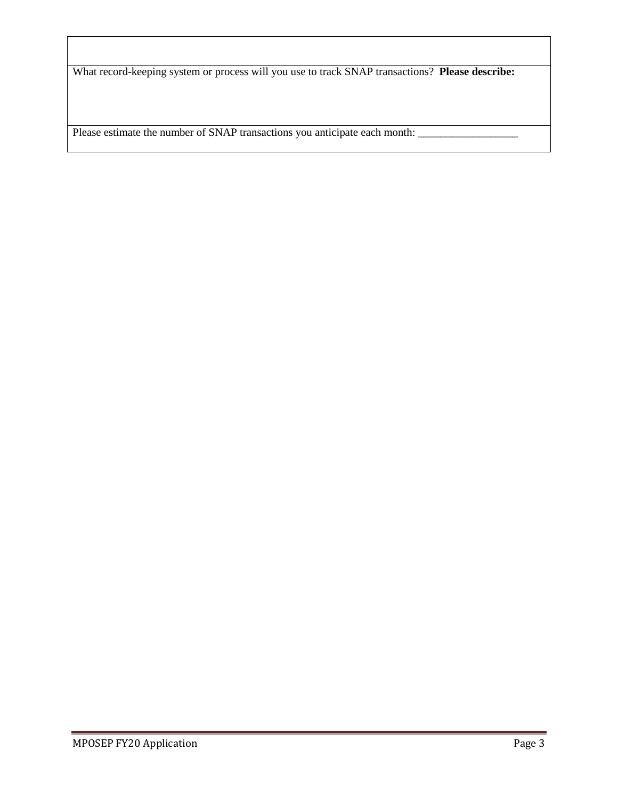What record-keeping system or process will you use to track SNAP transactions? **Please describe:**

Please estimate the number of SNAP transactions you anticipate each month: \_\_\_\_\_\_\_\_\_\_\_\_\_\_\_\_\_\_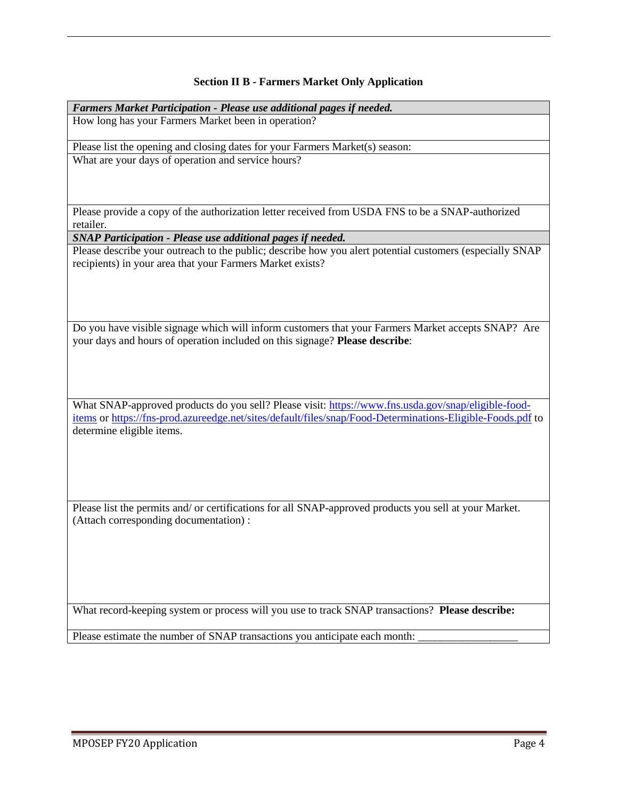## **Section II B - Farmers Market Only Application**

| Farmers Market Participation - Please use additional pages if needed.                                                                                                                                             |  |  |  |  |
|-------------------------------------------------------------------------------------------------------------------------------------------------------------------------------------------------------------------|--|--|--|--|
| How long has your Farmers Market been in operation?                                                                                                                                                               |  |  |  |  |
| Please list the opening and closing dates for your Farmers Market(s) season:                                                                                                                                      |  |  |  |  |
| What are your days of operation and service hours?                                                                                                                                                                |  |  |  |  |
|                                                                                                                                                                                                                   |  |  |  |  |
|                                                                                                                                                                                                                   |  |  |  |  |
| Please provide a copy of the authorization letter received from USDA FNS to be a SNAP-authorized                                                                                                                  |  |  |  |  |
| retailer.                                                                                                                                                                                                         |  |  |  |  |
| SNAP Participation - Please use additional pages if needed.                                                                                                                                                       |  |  |  |  |
| Please describe your outreach to the public; describe how you alert potential customers (especially SNAP<br>recipients) in your area that your Farmers Market exists?                                             |  |  |  |  |
|                                                                                                                                                                                                                   |  |  |  |  |
|                                                                                                                                                                                                                   |  |  |  |  |
|                                                                                                                                                                                                                   |  |  |  |  |
| Do you have visible signage which will inform customers that your Farmers Market accepts SNAP? Are<br>your days and hours of operation included on this signage? Please describe:                                 |  |  |  |  |
|                                                                                                                                                                                                                   |  |  |  |  |
|                                                                                                                                                                                                                   |  |  |  |  |
|                                                                                                                                                                                                                   |  |  |  |  |
| What SNAP-approved products do you sell? Please visit: https://www.fns.usda.gov/snap/eligible-food-<br>items or https://fns-prod.azureedge.net/sites/default/files/snap/Food-Determinations-Eligible-Foods.pdf to |  |  |  |  |
| determine eligible items.                                                                                                                                                                                         |  |  |  |  |
|                                                                                                                                                                                                                   |  |  |  |  |
|                                                                                                                                                                                                                   |  |  |  |  |
|                                                                                                                                                                                                                   |  |  |  |  |
| Please list the permits and/ or certifications for all SNAP-approved products you sell at your Market.                                                                                                            |  |  |  |  |
| (Attach corresponding documentation):                                                                                                                                                                             |  |  |  |  |
|                                                                                                                                                                                                                   |  |  |  |  |
|                                                                                                                                                                                                                   |  |  |  |  |
|                                                                                                                                                                                                                   |  |  |  |  |
|                                                                                                                                                                                                                   |  |  |  |  |

What record-keeping system or process will you use to track SNAP transactions? **Please describe:**

Please estimate the number of SNAP transactions you anticipate each month: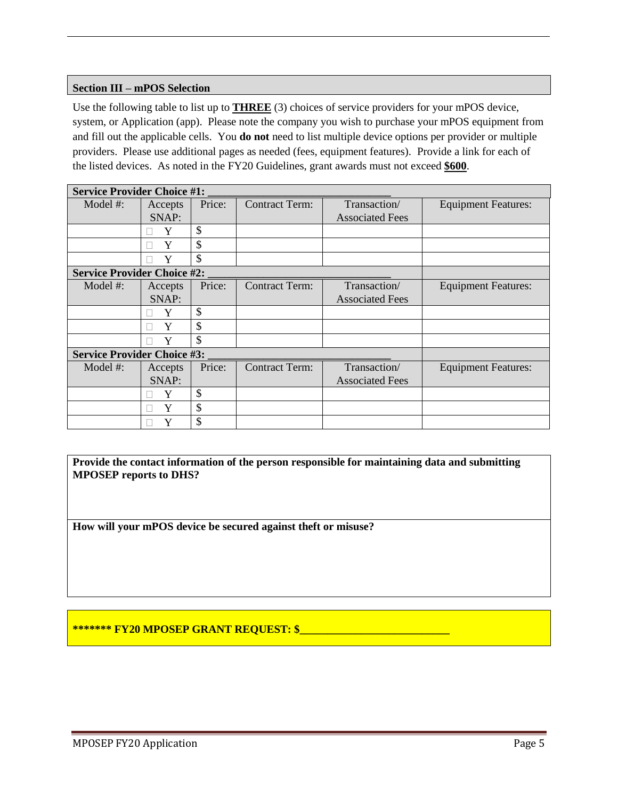#### **Section III – mPOS Selection**

Use the following table to list up to **THREE** (3) choices of service providers for your mPOS device, system, or Application (app). Please note the company you wish to purchase your mPOS equipment from and fill out the applicable cells. You **do not** need to list multiple device options per provider or multiple providers. Please use additional pages as needed (fees, equipment features). Provide a link for each of the listed devices. As noted in the FY20 Guidelines, grant awards must not exceed **\$600**.

| <b>Service Provider Choice #1:</b> |         |        |                       |                        |                            |  |  |  |
|------------------------------------|---------|--------|-----------------------|------------------------|----------------------------|--|--|--|
| Model $#$ :                        | Accepts | Price: | <b>Contract Term:</b> | Transaction/           | <b>Equipment Features:</b> |  |  |  |
|                                    | SNAP:   |        |                       | <b>Associated Fees</b> |                            |  |  |  |
|                                    | Y       | \$     |                       |                        |                            |  |  |  |
|                                    | Y       | \$     |                       |                        |                            |  |  |  |
|                                    | Y       | \$     |                       |                        |                            |  |  |  |
| <b>Service Provider Choice #2:</b> |         |        |                       |                        |                            |  |  |  |
| Model #:                           | Accepts | Price: | <b>Contract Term:</b> | Transaction/           | <b>Equipment Features:</b> |  |  |  |
|                                    | SNAP:   |        |                       | <b>Associated Fees</b> |                            |  |  |  |
|                                    | Y       | \$     |                       |                        |                            |  |  |  |
|                                    | Y       | \$     |                       |                        |                            |  |  |  |
|                                    |         | \$     |                       |                        |                            |  |  |  |
| <b>Service Provider Choice #3:</b> |         |        |                       |                        |                            |  |  |  |
| Model #:                           | Accepts | Price: | <b>Contract Term:</b> | Transaction/           | <b>Equipment Features:</b> |  |  |  |
|                                    | SNAP:   |        |                       | <b>Associated Fees</b> |                            |  |  |  |
|                                    |         | \$     |                       |                        |                            |  |  |  |
|                                    |         | \$     |                       |                        |                            |  |  |  |
|                                    | Y       | \$     |                       |                        |                            |  |  |  |

**Provide the contact information of the person responsible for maintaining data and submitting MPOSEP reports to DHS?**

**How will your mPOS device be secured against theft or misuse?**

### **\*\*\*\*\*\*\* FY20 MPOSEP GRANT REQUEST: \$\_\_\_\_\_\_\_\_\_\_\_\_\_\_\_\_\_\_\_\_\_\_\_\_\_\_\_**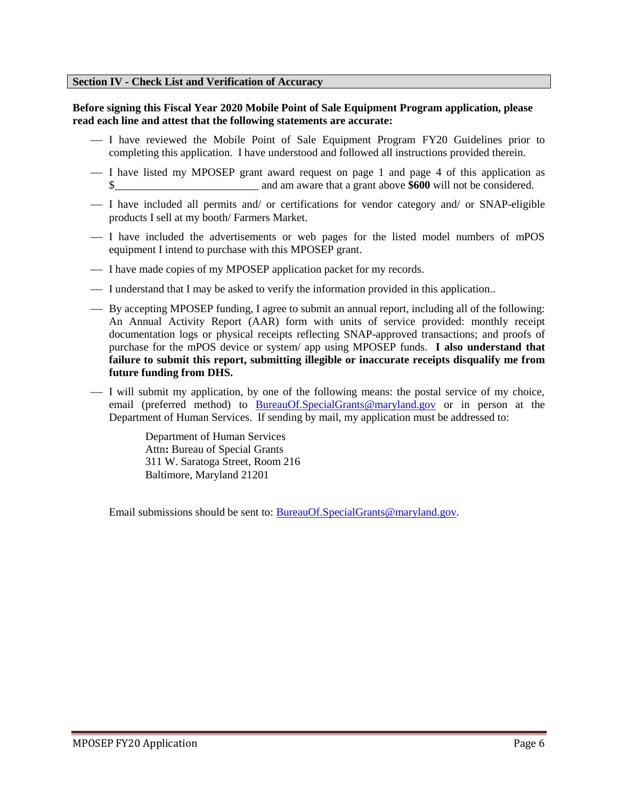#### **Section IV - Check List and Verification of Accuracy**

#### **Before signing this Fiscal Year 2020 Mobile Point of Sale Equipment Program application, please read each line and attest that the following statements are accurate:**

- I have reviewed the Mobile Point of Sale Equipment Program FY20 Guidelines prior to completing this application. I have understood and followed all instructions provided therein.
- I have listed my MPOSEP grant award request on page 1 and page 4 of this application as \$ and am aware that a grant above **\$600** will not be considered.
- I have included all permits and/ or certifications for vendor category and/ or SNAP-eligible products I sell at my booth/ Farmers Market.
- I have included the advertisements or web pages for the listed model numbers of mPOS equipment I intend to purchase with this MPOSEP grant.
- I have made copies of my MPOSEP application packet for my records.
- I understand that I may be asked to verify the information provided in this application..
- By accepting MPOSEP funding, I agree to submit an annual report, including all of the following: An Annual Activity Report (AAR) form with units of service provided: monthly receipt documentation logs or physical receipts reflecting SNAP-approved transactions; and proofs of purchase for the mPOS device or system/ app using MPOSEP funds. **I also understand that failure to submit this report, submitting illegible or inaccurate receipts disqualify me from future funding from DHS.**
- I will submit my application, by one of the following means: the postal service of my choice, email (preferred method) to **[BureauOf.SpecialGrants@maryland.gov](mailto:BureauOf.SpecialGrants@maryland.gov)** or in person at the Department of Human Services. If sending by mail, my application must be addressed to:

Department of Human Services Attn**:** Bureau of Special Grants 311 W. Saratoga Street, Room 216 Baltimore, Maryland 21201

Email submissions should be sent to: [BureauOf.SpecialGrants@maryland.gov.](mailto:BureauOf.SpecialGrants@maryland.gov)